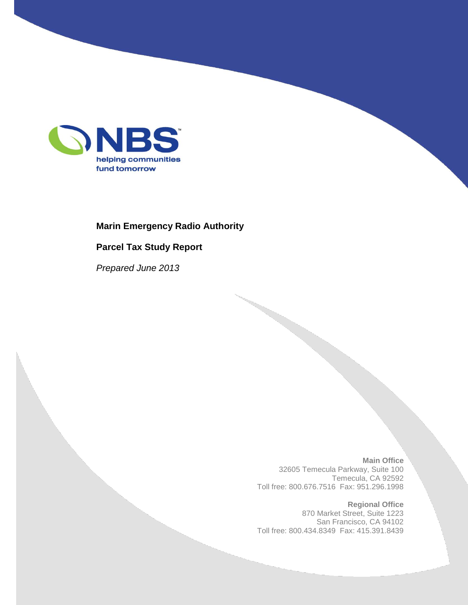

#### **Marin Emergency Radio Authority**

#### **Parcel Tax Study Report**

*Prepared June 2013*

**Main Office** 32605 Temecula Parkway, Suite 100 Temecula, CA 92592 Toll free: 800.676.7516 Fax: 951.296.1998

**Regional Office** 870 Market Street, Suite 1223 San Francisco, CA 94102 Toll free: 800.434.8349 Fax: 415.391.8439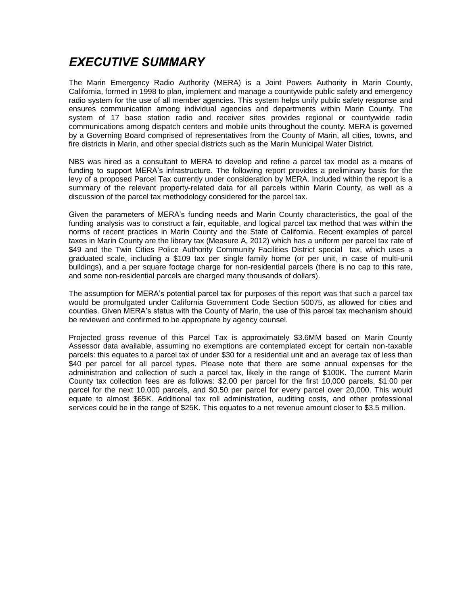### *EXECUTIVE SUMMARY*

The Marin Emergency Radio Authority (MERA) is a Joint Powers Authority in Marin County, California, formed in 1998 to plan, implement and manage a countywide public safety and emergency radio system for the use of all member agencies. This system helps unify public safety response and ensures communication among individual agencies and departments within Marin County. The system of 17 base station radio and receiver sites provides regional or countywide radio communications among dispatch centers and mobile units throughout the county. MERA is governed by a Governing Board comprised of representatives from the County of Marin, all cities, towns, and fire districts in Marin, and other special districts such as the Marin Municipal Water District.

NBS was hired as a consultant to MERA to develop and refine a parcel tax model as a means of funding to support MERA's infrastructure. The following report provides a preliminary basis for the levy of a proposed Parcel Tax currently under consideration by MERA. Included within the report is a summary of the relevant property-related data for all parcels within Marin County, as well as a discussion of the parcel tax methodology considered for the parcel tax.

Given the parameters of MERA's funding needs and Marin County characteristics, the goal of the funding analysis was to construct a fair, equitable, and logical parcel tax method that was within the norms of recent practices in Marin County and the State of California. Recent examples of parcel taxes in Marin County are the library tax (Measure A, 2012) which has a uniform per parcel tax rate of \$49 and the Twin Cities Police Authority Community Facilities District special tax, which uses a graduated scale, including a \$109 tax per single family home (or per unit, in case of multi-unit buildings), and a per square footage charge for non-residential parcels (there is no cap to this rate, and some non-residential parcels are charged many thousands of dollars).

The assumption for MERA's potential parcel tax for purposes of this report was that such a parcel tax would be promulgated under California Government Code Section 50075, as allowed for cities and counties. Given MERA's status with the County of Marin, the use of this parcel tax mechanism should be reviewed and confirmed to be appropriate by agency counsel.

Projected gross revenue of this Parcel Tax is approximately \$3.6MM based on Marin County Assessor data available, assuming no exemptions are contemplated except for certain non-taxable parcels: this equates to a parcel tax of under \$30 for a residential unit and an average tax of less than \$40 per parcel for all parcel types. Please note that there are some annual expenses for the administration and collection of such a parcel tax, likely in the range of \$100K. The current Marin County tax collection fees are as follows: \$2.00 per parcel for the first 10,000 parcels, \$1.00 per parcel for the next 10,000 parcels, and \$0.50 per parcel for every parcel over 20,000. This would equate to almost \$65K. Additional tax roll administration, auditing costs, and other professional services could be in the range of \$25K. This equates to a net revenue amount closer to \$3.5 million.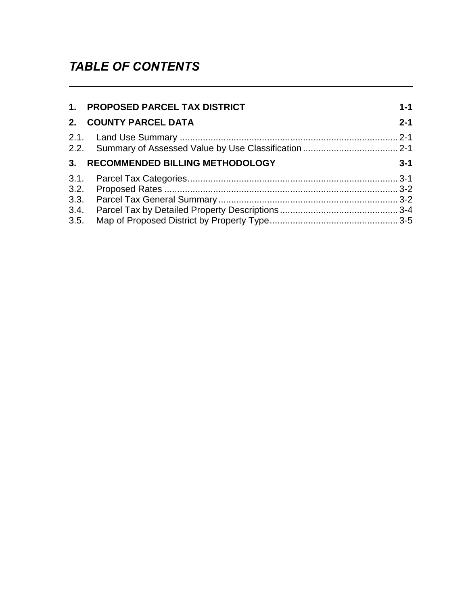## *TABLE OF CONTENTS*

| 1. PROPOSED PARCEL TAX DISTRICT    | $1 - 1$ |
|------------------------------------|---------|
| 2. COUNTY PARCEL DATA              | $2 - 1$ |
|                                    |         |
| 3. RECOMMENDED BILLING METHODOLOGY | $3 - 1$ |
|                                    |         |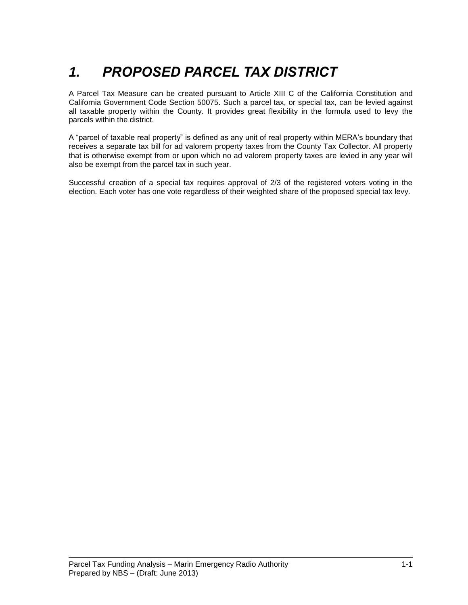# *1. PROPOSED PARCEL TAX DISTRICT*

A Parcel Tax Measure can be created pursuant to Article XIII C of the California Constitution and California Government Code Section 50075. Such a parcel tax, or special tax, can be levied against all taxable property within the County. It provides great flexibility in the formula used to levy the parcels within the district.

A "parcel of taxable real property" is defined as any unit of real property within MERA's boundary that receives a separate tax bill for ad valorem property taxes from the County Tax Collector. All property that is otherwise exempt from or upon which no ad valorem property taxes are levied in any year will also be exempt from the parcel tax in such year.

Successful creation of a special tax requires approval of 2/3 of the registered voters voting in the election. Each voter has one vote regardless of their weighted share of the proposed special tax levy.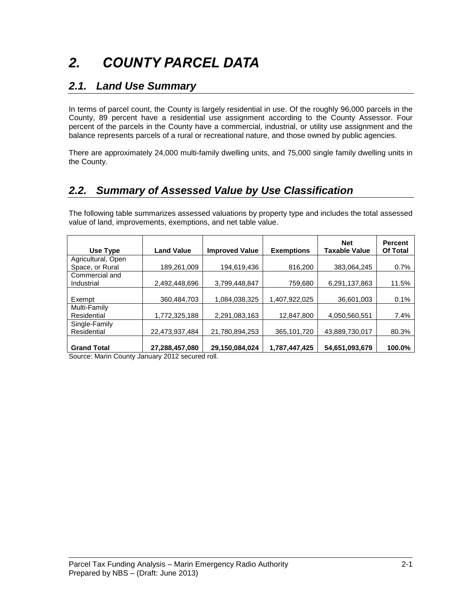# *2. COUNTY PARCEL DATA*

#### *2.1. Land Use Summary*

In terms of parcel count, the County is largely residential in use. Of the roughly 96,000 parcels in the County, 89 percent have a residential use assignment according to the County Assessor. Four percent of the parcels in the County have a commercial, industrial, or utility use assignment and the balance represents parcels of a rural or recreational nature, and those owned by public agencies.

There are approximately 24,000 multi-family dwelling units, and 75,000 single family dwelling units in the County.

### *2.2. Summary of Assessed Value by Use Classification*

The following table summarizes assessed valuations by property type and includes the total assessed value of land, improvements, exemptions, and net table value.

| Use Type                     | <b>Land Value</b> | <b>Improved Value</b> | <b>Exemptions</b> | <b>Net</b><br>Taxable Value | <b>Percent</b><br><b>Of Total</b> |
|------------------------------|-------------------|-----------------------|-------------------|-----------------------------|-----------------------------------|
| Agricultural, Open           |                   |                       |                   |                             |                                   |
| Space, or Rural              | 189,261,009       | 194,619,436           | 816,200           | 383,064,245                 | 0.7%                              |
| Commercial and<br>Industrial | 2,492,448,696     | 3,799,448,847         | 759,680           | 6,291,137,863               | 11.5%                             |
| Exempt                       | 360,484,703       | 1,084,038,325         | 1,407,922,025     | 36,601,003                  | 0.1%                              |
| Multi-Family<br>Residential  | 1,772,325,188     | 2,291,083,163         | 12,847,800        | 4,050,560,551               | 7.4%                              |
| Single-Family<br>Residential | 22,473,937,484    | 21,780,894,253        | 365,101,720       | 43,889,730,017              | 80.3%                             |
| <b>Grand Total</b>           | 27,288,457,080    | 29,150,084,024        | 1,787,447,425     | 54,651,093,679              | 100.0%                            |

Source: Marin County January 2012 secured roll.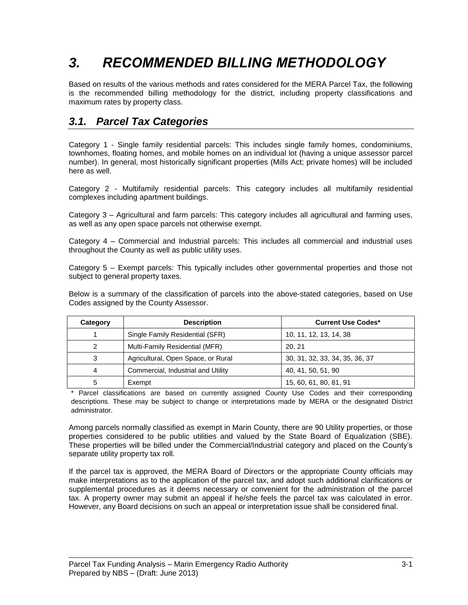## *3. RECOMMENDED BILLING METHODOLOGY*

Based on results of the various methods and rates considered for the MERA Parcel Tax, the following is the recommended billing methodology for the district, including property classifications and maximum rates by property class.

### *3.1. Parcel Tax Categories*

Category 1 - Single family residential parcels: This includes single family homes, condominiums, townhomes, floating homes, and mobile homes on an individual lot (having a unique assessor parcel number). In general, most historically significant properties (Mills Act; private homes) will be included here as well.

Category 2 - Multifamily residential parcels: This category includes all multifamily residential complexes including apartment buildings.

Category 3 – Agricultural and farm parcels: This category includes all agricultural and farming uses, as well as any open space parcels not otherwise exempt.

Category 4 – Commercial and Industrial parcels: This includes all commercial and industrial uses throughout the County as well as public utility uses.

Category 5 – Exempt parcels: This typically includes other governmental properties and those not subject to general property taxes.

Below is a summary of the classification of parcels into the above-stated categories, based on Use Codes assigned by the County Assessor.

| Category | <b>Description</b>                 | <b>Current Use Codes*</b>      |
|----------|------------------------------------|--------------------------------|
|          | Single Family Residential (SFR)    | 10, 11, 12, 13, 14, 38         |
| 2        | Multi-Family Residential (MFR)     | 20.21                          |
| 3        | Agricultural, Open Space, or Rural | 30, 31, 32, 33, 34, 35, 36, 37 |
| 4        | Commercial, Industrial and Utility | 40, 41, 50, 51, 90             |
| 5        | Exempt                             | 15, 60, 61, 80, 81, 91         |

Parcel classifications are based on currently assigned County Use Codes and their corresponding descriptions. These may be subject to change or interpretations made by MERA or the designated District administrator.

Among parcels normally classified as exempt in Marin County, there are 90 Utility properties, or those properties considered to be public utilities and valued by the State Board of Equalization (SBE). These properties will be billed under the Commercial/Industrial category and placed on the County's separate utility property tax roll.

If the parcel tax is approved, the MERA Board of Directors or the appropriate County officials may make interpretations as to the application of the parcel tax, and adopt such additional clarifications or supplemental procedures as it deems necessary or convenient for the administration of the parcel tax. A property owner may submit an appeal if he/she feels the parcel tax was calculated in error. However, any Board decisions on such an appeal or interpretation issue shall be considered final.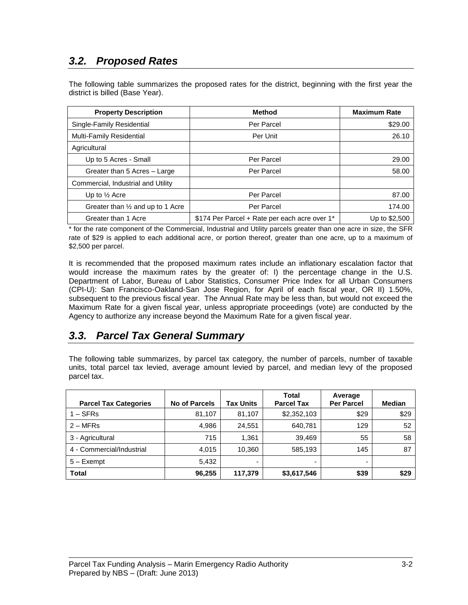### *3.2. Proposed Rates*

The following table summarizes the proposed rates for the district, beginning with the first year the district is billed (Base Year).

| <b>Property Description</b>                 | <b>Method</b>                                 | <b>Maximum Rate</b> |
|---------------------------------------------|-----------------------------------------------|---------------------|
| Single-Family Residential                   | Per Parcel                                    | \$29.00             |
| Multi-Family Residential                    | Per Unit                                      | 26.10               |
| Agricultural                                |                                               |                     |
| Up to 5 Acres - Small                       | Per Parcel                                    | 29.00               |
| Greater than 5 Acres - Large                | Per Parcel                                    | 58.00               |
| Commercial, Industrial and Utility          |                                               |                     |
| Up to $\frac{1}{2}$ Acre                    | Per Parcel                                    | 87.00               |
| Greater than $\frac{1}{2}$ and up to 1 Acre | Per Parcel                                    | 174.00              |
| Greater than 1 Acre                         | \$174 Per Parcel + Rate per each acre over 1* | Up to \$2,500       |

\* for the rate component of the Commercial, Industrial and Utility parcels greater than one acre in size, the SFR rate of \$29 is applied to each additional acre, or portion thereof, greater than one acre, up to a maximum of \$2,500 per parcel.

It is recommended that the proposed maximum rates include an inflationary escalation factor that would increase the maximum rates by the greater of: I) the percentage change in the U.S. Department of Labor, Bureau of Labor Statistics, Consumer Price Index for all Urban Consumers (CPI-U): San Francisco-Oakland-San Jose Region, for April of each fiscal year, OR II) 1.50%, subsequent to the previous fiscal year. The Annual Rate may be less than, but would not exceed the Maximum Rate for a given fiscal year, unless appropriate proceedings (vote) are conducted by the Agency to authorize any increase beyond the Maximum Rate for a given fiscal year.

#### *3.3. Parcel Tax General Summary*

The following table summarizes, by parcel tax category, the number of parcels, number of taxable units, total parcel tax levied, average amount levied by parcel, and median levy of the proposed parcel tax.

| <b>Parcel Tax Categories</b> | <b>No of Parcels</b> | Tax Units | Total<br><b>Parcel Tax</b> | Average<br><b>Per Parcel</b> | <b>Median</b> |
|------------------------------|----------------------|-----------|----------------------------|------------------------------|---------------|
| $1 - SFRs$                   | 81,107               | 81.107    | \$2,352,103                | \$29                         | \$29          |
| $2 - MFRs$                   | 4,986                | 24.551    | 640.781                    | 129                          | 52            |
| 3 - Agricultural             | 715                  | 1.361     | 39,469                     | 55                           | 58            |
| 4 - Commercial/Industrial    | 4.015                | 10.360    | 585,193                    | 145                          | 87            |
| 5 - Exempt                   | 5,432                |           |                            | -                            |               |
| <b>Total</b>                 | 96,255               | 117,379   | \$3,617,546                | \$39                         | \$29          |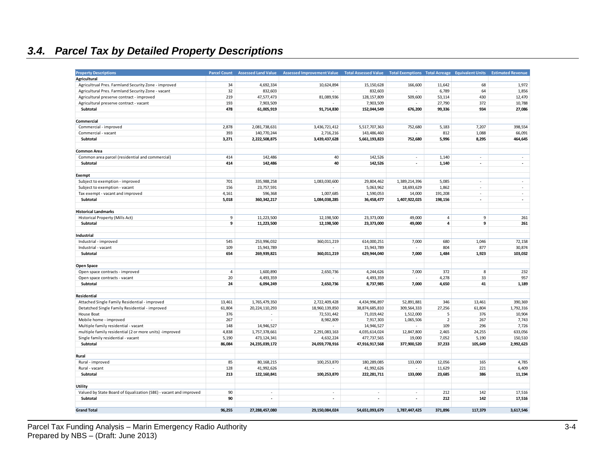## *3.4. Parcel Tax by Detailed Property Descriptions*

| <b>Property Descriptions</b>                                      | <b>Parcel Count</b> | <b>Assessed Land Value</b> | <b>Assessed Improvement Value</b> | <b>Total Assessed Value</b> | Total Exemptions Total Acreage Equivalent Units |                  |                | <b>Estimated Revenue</b> |
|-------------------------------------------------------------------|---------------------|----------------------------|-----------------------------------|-----------------------------|-------------------------------------------------|------------------|----------------|--------------------------|
| Agricultural                                                      |                     |                            |                                   |                             |                                                 |                  |                |                          |
| Agricultrual Pres. Farmland Security Zone - improved              | 34                  | 4,692,334                  | 10,624,894                        | 15,150,628                  | 166,600                                         | 11,642           | 68             | 1,972                    |
| Agricultural Pres. Farmland Security Zone - vacant                | 32                  | 832,603                    | $\overline{\phantom{a}}$          | 832,603                     | $\sim$                                          | 6,789            | 64             | 1,856                    |
| Agricultural preserve contract - improved                         | 219                 | 47,577,473                 | 81,089,936                        | 128,157,809                 | 509,600                                         | 53,114           | 430            | 12,470                   |
|                                                                   | 193                 | 7,903,509                  |                                   | 7,903,509                   |                                                 |                  | 372            | 10,788                   |
| Agricultural preserve contract - vacant<br>Subtotal               | 478                 |                            |                                   | 152,044,549                 | 676,200                                         | 27,790<br>99,336 | 934            | 27,086                   |
|                                                                   |                     | 61,005,919                 | 91,714,830                        |                             |                                                 |                  |                |                          |
| Commercial                                                        |                     |                            |                                   |                             |                                                 |                  |                |                          |
|                                                                   | 2,878               | 2,081,738,631              |                                   | 5,517,707,363               | 752,680                                         | 5,183            | 7,207          | 398,554                  |
| Commercial - improved                                             | 393                 | 140,770,244                | 3,436,721,412                     | 143,486,460                 |                                                 |                  | 1,088          |                          |
| Commercial - vacant                                               |                     |                            | 2,716,216                         |                             |                                                 | 812              |                | 66,091                   |
| Subtotal                                                          | 3,271               | 2,222,508,875              | 3,439,437,628                     | 5,661,193,823               | 752,680                                         | 5,996            | 8,295          | 464,645                  |
|                                                                   |                     |                            |                                   |                             |                                                 |                  |                |                          |
| <b>Common Area</b>                                                |                     |                            |                                   |                             |                                                 |                  |                |                          |
| Common area parcel (residential and commercial)                   | 414                 | 142,486                    | 40                                | 142,526                     | $\sim$                                          | 1,140            | ÷.             | ٠                        |
| Subtotal                                                          | 414                 | 142,486                    | 40                                | 142,526                     | $\overline{\phantom{a}}$                        | 1,140            | $\blacksquare$ | $\overline{\phantom{a}}$ |
|                                                                   |                     |                            |                                   |                             |                                                 |                  |                |                          |
| Exempt                                                            |                     |                            |                                   |                             |                                                 |                  |                |                          |
| Subject to exemption - improved                                   | 701                 | 335,988,258                | 1,083,030,600                     | 29,804,462                  | 1,389,214,396                                   | 5,085            | $\sim$         | $\sim$                   |
| Subject to exemption - vacant                                     | 156                 | 23,757,591                 |                                   | 5,063,962                   | 18,693,629                                      | 1,862            | ÷.             | a.                       |
| Tax exempt - vacant and improved                                  | 4,161               | 596,368                    | 1,007,685                         | 1,590,053                   | 14,000                                          | 191,208          | $\sim$         | $\sim$                   |
| Subtotal                                                          | 5,018               | 360, 342, 217              | 1,084,038,285                     | 36,458,477                  | 1,407,922,025                                   | 198,156          | $\blacksquare$ | $\overline{\phantom{a}}$ |
|                                                                   |                     |                            |                                   |                             |                                                 |                  |                |                          |
| <b>Historical Landmarks</b>                                       |                     |                            |                                   |                             |                                                 |                  |                |                          |
| Historical Property (Mills Act)                                   | 9                   | 11,223,500                 | 12,198,500                        | 23,373,000                  | 49,000                                          | $\overline{4}$   | 9              | 261                      |
| Subtotal                                                          | 9                   | 11,223,500                 | 12,198,500                        | 23,373,000                  | 49,000                                          | $\overline{a}$   | 9              | 261                      |
|                                                                   |                     |                            |                                   |                             |                                                 |                  |                |                          |
| Industrial                                                        |                     |                            |                                   |                             |                                                 |                  |                |                          |
| Industrial - improved                                             | 545                 | 253,996,032                | 360,011,219                       | 614,000,251                 | 7,000                                           | 680              | 1,046          | 72,158                   |
| Industrial - vacant                                               | 109                 | 15,943,789                 |                                   | 15,943,789                  |                                                 | 804              | 877            | 30,874                   |
| Subtotal                                                          | 654                 | 269,939,821                | 360,011,219                       | 629,944,040                 | 7,000                                           | 1,484            | 1,923          | 103,032                  |
|                                                                   |                     |                            |                                   |                             |                                                 |                  |                |                          |
| Open Space                                                        |                     |                            |                                   |                             |                                                 |                  |                |                          |
| Open space contracts - improved                                   | $\overline{4}$      | 1,600,890                  | 2,650,736                         | 4,244,626                   | 7,000                                           | 372              | 8              | 232                      |
| Open space contracts - vacant                                     | 20                  | 4,493,359                  |                                   | 4,493,359                   |                                                 | 4,278            | 33             | 957                      |
| Subtotal                                                          | 24                  | 6,094,249                  | 2,650,736                         | 8,737,985                   | 7,000                                           | 4,650            | 41             | 1,189                    |
|                                                                   |                     |                            |                                   |                             |                                                 |                  |                |                          |
| Residential                                                       |                     |                            |                                   |                             |                                                 |                  |                |                          |
| Attached Single Family Residential - improved                     | 13,461              | 1,765,479,350              | 2,722,409,428                     | 4,434,996,897               | 52,891,881                                      | 346              | 13,461         | 390,369                  |
| Detatched Single Family Residential - improved                    | 61,804              | 20, 224, 110, 293          | 18,960,139,850                    | 38,874,685,810              | 309,564,333                                     | 27,256           | 61,804         | 1,792,316                |
| House Boat                                                        | 376                 | $\sim$                     | 72,531,442                        | 71,019,442                  | 1,512,000                                       | 5                | 376            | 10,904                   |
| Mobile home - improved                                            | 267                 | ÷.                         | 8,982,809                         | 7,917,303                   | 1,065,506                                       | $\overline{2}$   | 267            | 7,743                    |
| Multiple family residential - vacant                              | 148                 | 14,946,527                 |                                   | 14,946,527                  |                                                 | 109              | 296            | 7,726                    |
| multiple family residential (2 or more units) -improved           | 4,838               | 1,757,378,661              | 2,291,083,163                     | 4,035,614,024               | 12,847,800                                      | 2,465            | 24,255         | 633,056                  |
| Single family residential - vacant                                | 5,190               | 473,124,341                | 4,632,224                         | 477,737,565                 | 19,000                                          | 7,052            | 5,190          | 150,510                  |
| Subtotal                                                          | 86,084              | 24,235,039,172             | 24,059,778,916                    | 47,916,917,568              | 377,900,520                                     | 37,233           | 105,649        | 2,992,623                |
|                                                                   |                     |                            |                                   |                             |                                                 |                  |                |                          |
| Rural                                                             |                     |                            |                                   |                             |                                                 |                  |                |                          |
| Rural - improved                                                  | 85                  | 80, 168, 215               | 100,253,870                       | 180,289,085                 | 133,000                                         | 12,056           | 165            | 4,785                    |
| Rural - vacant                                                    | 128                 | 41,992,626                 |                                   | 41,992,626                  |                                                 | 11,629           | 221            | 6,409                    |
| Subtotal                                                          | 213                 | 122,160,841                | 100,253,870                       | 222,281,711                 | 133,000                                         | 23,685           | 386            | 11,194                   |
|                                                                   |                     |                            |                                   |                             |                                                 |                  |                |                          |
|                                                                   |                     |                            |                                   |                             |                                                 |                  |                |                          |
| <b>Utility</b>                                                    |                     | $\sim$                     | $\sim$                            | $\sim$                      | ×.                                              |                  |                |                          |
| Valued by State Board of Equalization (SBE) - vacant and improved | 90                  |                            |                                   |                             |                                                 | 212              | 142            | 17,516                   |
| Subtotal                                                          | 90                  | $\blacksquare$             | $\overline{\phantom{a}}$          | $\blacksquare$              | $\blacksquare$                                  | 212              | 142            | 17,516                   |
|                                                                   |                     |                            |                                   |                             |                                                 |                  |                |                          |
| <b>Grand Total</b>                                                | 96,255              | 27,288,457,080             | 29,150,084,024                    | 54,651,093,679              | 1,787,447,425                                   | 371,896          | 117,379        | 3,617,546                |